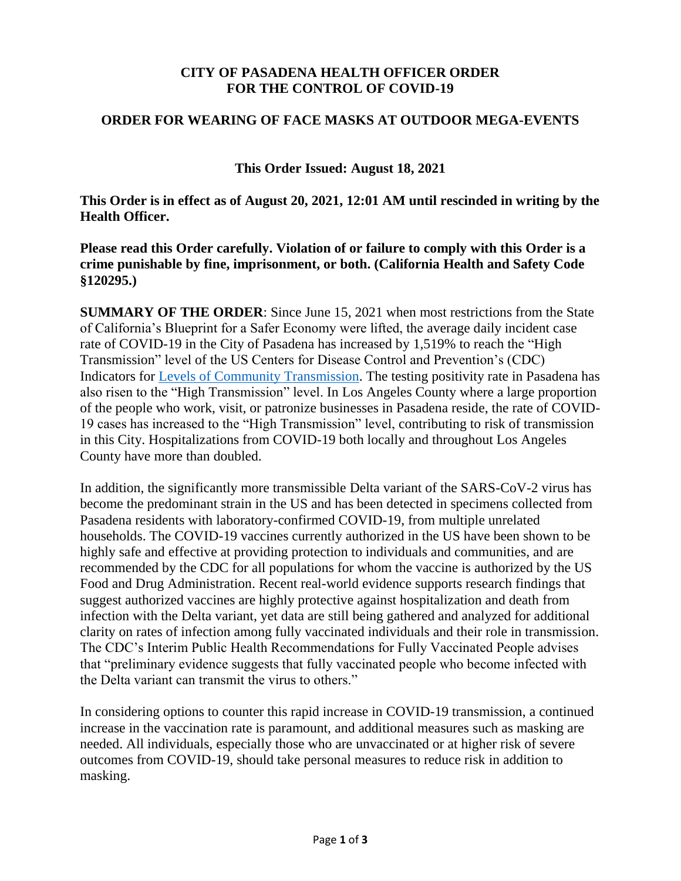## **CITY OF PASADENA HEALTH OFFICER ORDER FOR THE CONTROL OF COVID-19**

## **ORDER FOR WEARING OF FACE MASKS AT OUTDOOR MEGA-EVENTS**

**This Order Issued: August 18, 2021**

**This Order is in effect as of August 20, 2021, 12:01 AM until rescinded in writing by the Health Officer.**

**Please read this Order carefully. Violation of or failure to comply with this Order is a crime punishable by fine, imprisonment, or both. (California Health and Safety Code §120295.)**

**SUMMARY OF THE ORDER**: Since June 15, 2021 when most restrictions from the State of California's Blueprint for a Safer Economy were lifted, the average daily incident case rate of COVID-19 in the City of Pasadena has increased by 1,519% to reach the "High Transmission" level of the US Centers for Disease Control and Prevention's (CDC) Indicators for [Levels of Community Transmission.](https://covid.cdc.gov/covid-data-tracker/#county-view) The testing positivity rate in Pasadena has also risen to the "High Transmission" level. In Los Angeles County where a large proportion of the people who work, visit, or patronize businesses in Pasadena reside, the rate of COVID-19 cases has increased to the "High Transmission" level, contributing to risk of transmission in this City. Hospitalizations from COVID-19 both locally and throughout Los Angeles County have more than doubled.

In addition, the significantly more transmissible Delta variant of the SARS-CoV-2 virus has become the predominant strain in the US and has been detected in specimens collected from Pasadena residents with laboratory-confirmed COVID-19, from multiple unrelated households. The COVID-19 vaccines currently authorized in the US have been shown to be highly safe and effective at providing protection to individuals and communities, and are recommended by the CDC for all populations for whom the vaccine is authorized by the US Food and Drug Administration. Recent real-world evidence supports research findings that suggest authorized vaccines are highly protective against hospitalization and death from infection with the Delta variant, yet data are still being gathered and analyzed for additional clarity on rates of infection among fully vaccinated individuals and their role in transmission. The CDC's Interim Public Health Recommendations for Fully Vaccinated People advises that "preliminary evidence suggests that fully vaccinated people who become infected with the Delta variant can transmit the virus to others."

In considering options to counter this rapid increase in COVID-19 transmission, a continued increase in the vaccination rate is paramount, and additional measures such as masking are needed. All individuals, especially those who are unvaccinated or at higher risk of severe outcomes from COVID-19, should take personal measures to reduce risk in addition to masking.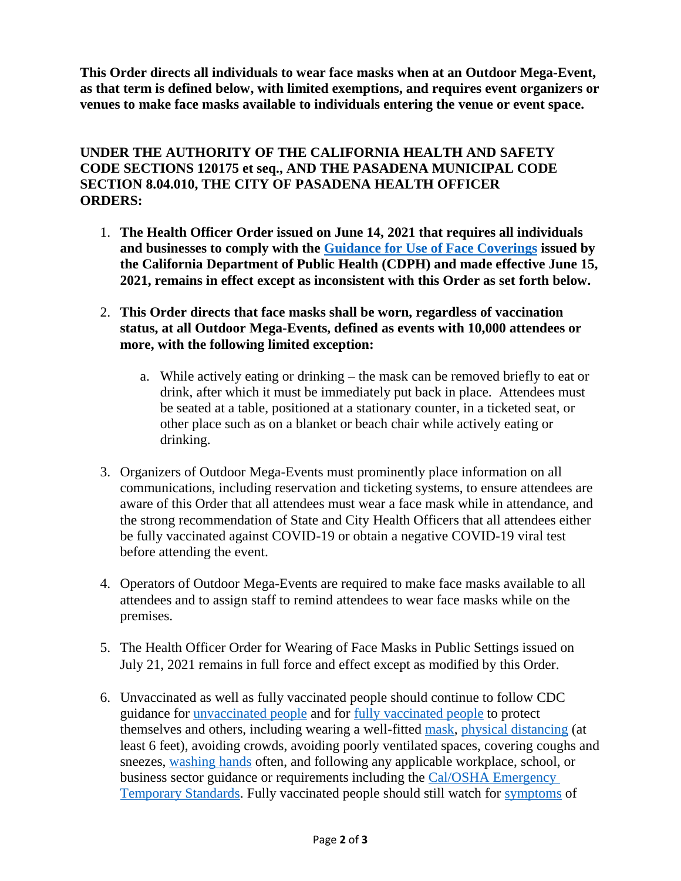**This Order directs all individuals to wear face masks when at an Outdoor Mega-Event, as that term is defined below, with limited exemptions, and requires event organizers or venues to make face masks available to individuals entering the venue or event space.**

## **UNDER THE AUTHORITY OF THE CALIFORNIA HEALTH AND SAFETY CODE SECTIONS 120175 et seq., AND THE PASADENA MUNICIPAL CODE SECTION 8.04.010, THE CITY OF PASADENA HEALTH OFFICER ORDERS:**

- 1. **The Health Officer Order issued on June 14, 2021 that requires all individuals and businesses to comply with the [Guidance for Use of Face](https://www.cdph.ca.gov/Programs/CID/DCDC/Pages/COVID-19/guidance-for-face-coverings.aspx) Coverings issued by the California Department of Public Health (CDPH) and made effective June 15, 2021, remains in effect except as inconsistent with this Order as set forth below.**
- 2. **This Order directs that face masks shall be worn, regardless of vaccination status, at all Outdoor Mega-Events, defined as events with 10,000 attendees or more, with the following limited exception:**
	- a. While actively eating or drinking the mask can be removed briefly to eat or drink, after which it must be immediately put back in place. Attendees must be seated at a table, positioned at a stationary counter, in a ticketed seat, or other place such as on a blanket or beach chair while actively eating or drinking.
- 3. Organizers of Outdoor Mega-Events must prominently place information on all communications, including reservation and ticketing systems, to ensure attendees are aware of this Order that all attendees must wear a face mask while in attendance, and the strong recommendation of State and City Health Officers that all attendees either be fully vaccinated against COVID-19 or obtain a negative COVID-19 viral test before attending the event.
- 4. Operators of Outdoor Mega-Events are required to make face masks available to all attendees and to assign staff to remind attendees to wear face masks while on the premises.
- 5. The Health Officer Order for Wearing of Face Masks in Public Settings issued on July 21, 2021 remains in full force and effect except as modified by this Order.
- 6. Unvaccinated as well as fully vaccinated people should continue to follow CDC guidance for [unvaccinated people](https://www.cdc.gov/coronavirus/2019-ncov/prevent-getting-sick/prevention.html) and for [fully vaccinated people](https://www.cdc.gov/coronavirus/2019-ncov/vaccines/fully-vaccinated.html) to protect themselves and others, including wearing a well-fitted [mask,](https://www.cdc.gov/coronavirus/2019-ncov/prevent-getting-sick/diy-cloth-face-coverings.html) [physical distancing](https://www.cdc.gov/coronavirus/2019-ncov/prevent-getting-sick/social-distancing.html) (at least 6 feet), avoiding crowds, avoiding poorly ventilated spaces, covering coughs and sneezes, [washing hands](https://www.cdc.gov/handwashing/when-how-handwashing.html) often, and following any applicable workplace, school, or business sector guidance or requirements including the [Cal/OSHA Emergency](https://www.dir.ca.gov/dosh/coronavirus/ETS.html)  [Temporary Standards.](https://www.dir.ca.gov/dosh/coronavirus/ETS.html) Fully vaccinated people should still watch for [symptoms](https://www.cdc.gov/coronavirus/2019-ncov/symptoms-testing/symptoms.html) of